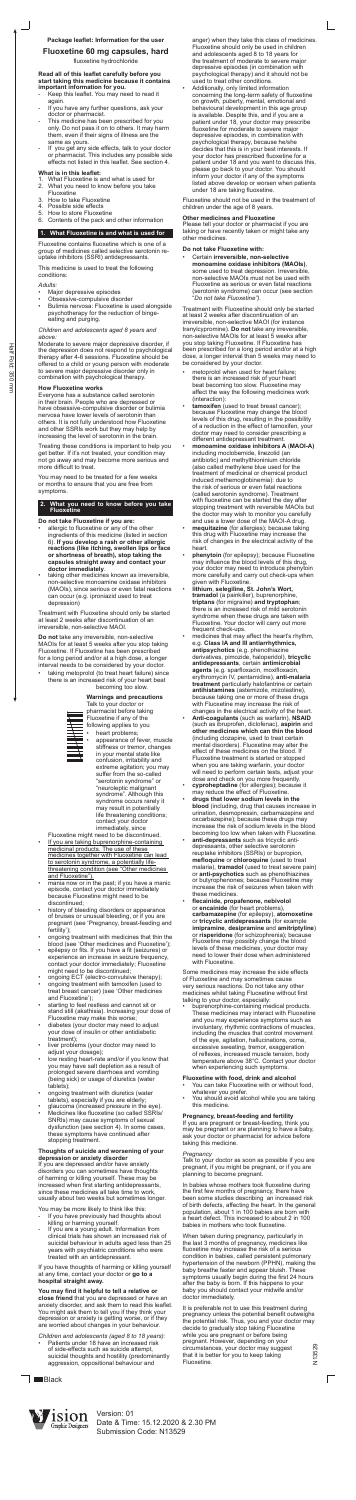# **Package leaflet: Information for the user**

# **Fluoxetine 60 mg capsules, hard**

fluoxetine hydrochloride

#### **Read all of this leaflet carefully before you start taking this medicine because it contains important information for you.**

- Keep this leaflet. You may need to read it again.
- If you have any further questions, ask your doctor or pharmacist.
- This medicine has been prescribed for you only. Do not pass it on to others. It may harm them, even if their signs of illness are the same as yours.
- If you get any side effects, talk to your doctor or pharmacist. This includes any possible side effects not listed in this leaflet. See section 4.

### **What is in this leaflet:**

- 1. What Fluoxetine is and what is used for
- 2. What you need to know before you take
- Fluoxetine
- 3. How to take Fluoxetine
- 4. Possible side effects 5. How to store Fluoxetine
- 6. Contents of the pack and other information

# **1. What Fluoxetine is and what is used for**

Fluoxetine contains fluoxetine which is one of a group of medicines called selective serotonin reuptake inhibitors (SSRI) antidepressants.

This medicine is used to treat the following conditions:

### *Adults:*

- Major depressive episodes
- Obsessive-compulsive disorder
- Bulimia nervosa: Fluoxetine is used alongside psychotherapy for the reduction of bingeeating and purging.

#### *Children and adolescents aged 8 years and above:*

- allergic to fluoxetine or any of the other ingredients of this medicine (listed in section 6). **If you develop a rash or other allergic reactions (like itching, swollen lips or face or shortness of breath), stop taking the capsules straight away and contact your doctor immediately**.
- taking other medicines known as irreversible, non-selective monoamine oxidase inhibitors (MAOIs), since serious or even fatal reactions can occur (e.g. iproniazid used to treat depression)

Moderate to severe major depressive disorder, if the depression does not respond to psychological therapy after 4-6 sessions. Fluoxetine should be offered to a child or young person with moderate to severe major depressive disorder only in combination with psychological therapy.

taking metoprolol (to treat heart failure) since there is an increased risk of your heart beat becoming too slow.

### **How Fluoxetine works**

Everyone has a substance called serotonin in their brain. People who are depressed or have obsessive-compulsive disorder or bulimia nervosa have lower levels of serotonin than others. It is not fully understood how Fluoxetine and other SSRIs work but they may help by increasing the level of serotonin in the brain.

> heart problems; appearance of fever, muscle stiffness or tremor, changes in your mental state like confusion, irritability and extreme agitation; you may suffer from the so-called "serotonin syndrome" or "neuroleptic malignant syndrome". Although this syndrome occurs rarely it may result in potentially life threatening conditions; contact your doctor immediately, since

Treating these conditions is important to help you get better. If it's not treated, your condition may not go away and may become more serious and more difficult to treat.

You may need to be treated for a few weeks or months to ensure that you are free from symptoms.

### **2. What you need to know before you take Fluoxetine**

### **Do not take Fluoxetine if you are:**

- If you are taking buprenorphine-containing medicinal products. The use of these medicines together with Fluoxetine can lead to serotonin syndrome, a potentially lifethreatening condition (see "Other medicines **and Fluoxetine").**
- mania now or in the past; if you have a manic episode, contact your doctor immediately because Fluoxetine might need to be discontinued;
- history of bleeding disorders or appearance of bruises or unusual bleeding, or if you are pregnant (see 'Pregnancy, breast-feeding and fertility');
- ongoing treatment with medicines that thin the blood (see 'Other medicines and Fluoxetine');
- epilepsy or fits. If you have a fit (seizures) or experience an increase in seizure frequency, contact your doctor immediately; Fluoxetine might need to be discontinued;
- ongoing ECT (electro-convulsive therapy);
- ongoing treatment with tamoxifen (used to treat breast cancer) (see 'Other medicines and Fluoxetine');
- starting to feel restless and cannot sit or stand still (akathisia). Increasing your dose of Fluoxetine may make this worse;
- diabetes (your doctor may need to adjust your dose of insulin or other antidiabetic treatment);
- liver problems (your doctor may need to adjust your dosage);
- low resting heart-rate and/or if you know that you may have salt depletion as a result of prolonged severe diarrhoea and vomiting (being sick) or usage of diuretics (water tablets);
- ongoing treatment with diuretics (water tablets), especially if you are elderly;
- glaucoma (increased pressure in the eye).
- Medicines like fluoxetine (so called SSRIs/ SNRIs) may cause symptoms of sexual dysfunction (see section 4). In some cases, these symptoms have continued after stopping treatment.

Treatment with Fluoxetine should only be started at least 2 weeks after discontinuation of an irreversible, non-selective MAOI.

You may be more likely to think like this: If you have previously had thoughts about

**Do not** take any irreversible, non-selective MAOIs for at least 5 weeks after you stop taking Fluoxetine. If Fluoxetine has been prescribed for a long period and/or at a high dose, a longer interval needs to be considered by your doctor.



Talk to your doctor or pharmacist before taking Fluoxetine if any of the following applies to you

Fluoxetine might need to be discontinued.

### **Thoughts of suicide and worsening of your depression or anxiety disorder**

If you are depressed and/or have anxiety disorders you can sometimes have thoughts of harming or killing yourself. These may be increased when first starting antidepressants, since these medicines all take time to work, usually about two weeks but sometimes longer.

- killing or harming yourself.
- If you are a young adult. Information from clinical trials has shown an increased risk of suicidal behaviour in adults aged less than 25 years with psychiatric conditions who were treated with an antidepressant.
- medicines that may affect the heart's rhythm, e.g. **Class IA and III antiarrhythmics, antipsychotics** (e.g. phenothiazine derivatives, pimozide, haloperidol), **tricyclic antidepressants**, certain **antimicrobial agents** (e.g. sparfloxacin, moxifloxacin, erythromycin IV, pentamidine), **anti-malaria treatment** particularly halofantrine or certain **antihistamines** (astemizole, mizolastine), because taking one or more of these drugs with Fluoxetine may increase the risk of changes in the electrical activity of the heart.
- **Anti-coagulants** (such as warfarin), **NSAID**  (such as ibruprofen, diclofenac), **aspirin** and **other medicines which can thin the blood**  (including clozapine, used to treat certain mental disorders). Fluoxetine may alter the effect of these medicines on the blood. If Fluoxetine treatment is started or stopped when you are taking warfarin, your doctor will need to perform certain tests, adjust your dose and check on you more frequently.
- **cyproheptadine** (for allergies); because it may reduce the effect of Fluoxetine.
- **drugs that lower sodium levels in the blood** (including, drug that causes increase in urination, desmopressin, carbamazepine and oxcarbazepine); because these drugs may increase the risk of sodium levels in the blood becoming too low when taken with Fluoxetine.
- **anti-depressants** such as tricyclic antidepressants, other selective serotonin reuptake inhibitors (SSRIs) or bupropion, **mefloquine** or **chloroquine** (used to treat malaria), **tramadol** (used to treat severe pain) or **anti-psychotics** such as phenothiazines or butyrophenones; because Fluoxetine may increase the risk of seizures when taken with these medicines.
- **flecainide, propafenone, nebivolol**  or **encainide** (for heart problems), **carbamazepine** (for epilepsy), **atomoxetine**  or **tricyclic antidepressants** (for example **imipramine**, **desipramine** and **amitriptyline**) or **risperidone** (for schizophrenia); because Fluoxetine may possibly change the blood levels of these medicines, your doctor may need to lower their dose when administered with Fluoxetine.

If you have thoughts of harming or killing yourself at any time, contact your doctor or **go to a hospital straight away.**

**You may find it helpful to tell a relative or close friend** that you are depressed or have an anxiety disorder, and ask them to read this leaflet. You might ask them to tell you if they think your depression or anxiety is getting worse, or if they are worried about changes in your behaviour.

*Children and adolescents (aged 8 to 18 years):*

• Patients under 18 have an increased risk of side-effects such as suicide attempt, suicidal thoughts and hostility (predominantly aggression, oppositional behaviour and

anger) when they take this class of medicines. Fluoxetine should only be used in children and adolescents aged 8 to 18 years for the treatment of moderate to severe major depressive episodes (in combination with psychological therapy) and it should not be used to treat other conditions.

It is preferable not to use this treatment during pregnancy unless the potential benefit outweighs the potential risk. Thus, you and your doctor may decide to gradually stop taking Fluoxetine while you are pregnant or before being pregnant. However, depending on your circumstances, your doctor may suggest that it is better for you to keep taking Fluoxetine. V13529

 $\sqrt{2}$ 

**I** Black



• Additionally, only limited information concerning the long-term safety of fluoxetine on growth, puberty, mental, emotional and behavioural development in this age group is available. Despite this, and if you are a patient under 18, your doctor may prescribe fluoxetine for moderate to severe major depressive episodes, in combination with psychological therapy, because he/she decides that this is in your best interests. If your doctor has prescribed fluoxetine for a patient under 18 and you want to discuss this, please go back to your doctor. You should inform your doctor if any of the symptoms listed above develop or worsen when patients under 18 are taking fluoxetine.

Fluoxetine should not be used in the treatment of children under the age of 8 years.

### **Other medicines and Fluoxetine**

Please tell your doctor or pharmacist if you are taking or have recently taken or might take any other medicines.

### **Do not take Fluoxetine with:**

• Certain **irreversible, non-selective monoamine oxidase inhibitors (MAOIs)**, some used to treat depression. Irreversible, non-selective MAOIs must not be used with Fluoxetine as serious or even fatal reactions (serotonin syndrome) can occur (see section "*Do not take Fluoxetine").* 

Treatment with Fluoxetine should only be started at least 2 weeks after discontinuation of an irreversible, non-selective MAOI (for instance tranylcypromine). **Do not** take any irreversible, non-selective MAOIs for at least 5 weeks after you stop taking Fluoxetine. If Fluoxetine has been prescribed for a long period and/or at a high dose, a longer interval than 5 weeks may need to be considered by your doctor.

- metoprolol when used for heart failure; there is an increased risk of your heart beat becoming too slow. Fluoxetine may affect the way the following medicines work (interaction):
- **tamoxifen** (used to treat breast cancer); because Fluoxetine may change the blood levels of this drug, resulting in the possibility of a reduction in the effect of tamoxifen, your doctor may need to consider prescribing a different antidepressant treatment.
- **monoamine oxidase inhibitors A** (**MAOI-A)**  including moclobemide, linezolid (an antibiotic) and methylthioninium chloride (also called methylene blue used for the treatment of medicinal or chemical product induced methemoglobinemia): due to the risk of serious or even fatal reactions (called serotonin syndrome). Treatment with fluoxetine can be started the day after stopping treatment with reversible MAOIs but the doctor may wish to monitor you carefully and use a lower dose of the MAOI-A drug.
- **mequitazine** (for allergies); because taking this drug with Fluoxetine may increase the risk of changes in the electrical activity of the heart.
- **phenytoin** (for epilepsy); because Fluoxetine may influence the blood levels of this drug, your doctor may need to introduce phenytoin more carefully and carry out check-ups when given with Fluoxetine.
- **lithium**, **selegiline, St. John's Wort, tramadol** (a painkiller), buprenorphine, **triptans** (for migraine) **and tryptophan**; e is an increased risk of mil

syndrome when these drugs are taken with Fluoxetine. Your doctor will carry out more frequent check-ups.

Some medicines may increase the side effects of Fluoxetine and may sometimes cause very serious reactions. Do not take any other medicines whilst taking Fluoxetine without first talking to your doctor, especially:

• buprenorphine-containing medical products. These medicines may interact with Fluoxetine and you may experience symptoms such as involuntary, rhythmic contractions of muscles, including the muscles that control movement of the eye, agitation, hallucinations, coma, excessive sweating, tremor, exaggeration of reflexes, increased muscle tension, body temperature above 38°C. Contact your doctor when experiencing such symptoms.

### **Fluoxetine with food, drink and alcohol**

- You can take Fluoxetine with or without food, whatever you prefer.
- You should avoid alcohol while you are taking this medicine.

# **Pregnancy, breast-feeding and fertility**

If you are pregnant or breast-feeding, think you may be pregnant or are planning to have a baby, ask your doctor or pharmacist for advice before taking this medicine.

### *Pregnancy*

Talk to your doctor as soon as possible if you are pregnant, if you might be pregnant, or if you are planning to become pregnant.

In babies whose mothers took fluoxetine during the first few months of pregnancy, there have been some studies describing an increased risk of birth defects, affecting the heart. In the general population, about 1 in 100 babies are born with a heart defect. This increased to about 2 in 100 babies in mothers who took fluoxetine.

When taken during pregnancy, particularly in the last 3 months of pregnancy, medicines like fluoxetine may increase the risk of a serious condition in babies, called persistent pulmonary hypertension of the newborn (PPHN), making the baby breathe faster and appear bluish. These symptoms usually begin during the first 24 hours after the baby is born. If this happens to your baby you should contact your midwife and/or doctor immediately.

Version: 01 Date & Time: 15.12.2020 & 2.30 PM Submission Code: N13529